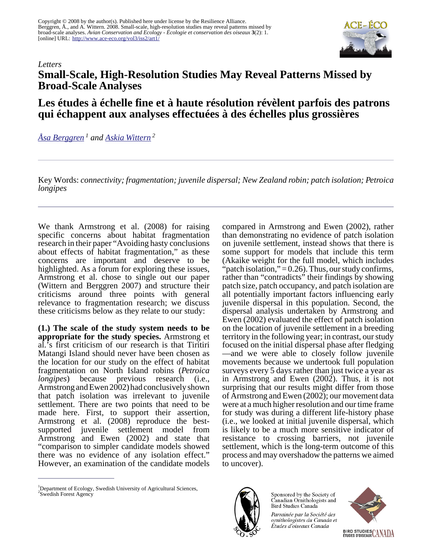Copyright © 2008 by the author(s). Published here under license by the Resilience Alliance. Berggren, Å., and A. Wittern. 2008. Small-scale, high-resolution studies may reveal patterns missed by broad-scale analyses. *Avian Conservation and Ecology - Écologie et conservation des oiseaux* **3**(2): 1. [online] URL: <http://www.ace-eco.org/vol3/iss2/art1/>



## *Letters* **Small-Scale, High-Resolution Studies May Reveal Patterns Missed by Broad-Scale Analyses**

## **Les études à échelle fine et à haute résolution révèlent parfois des patrons qui échappent aux analyses effectuées à des échelles plus grossières**

*[Åsa Berggren](mailto:Asa.Berggren@ekol.slu.se)<sup>1</sup> and [Askia Wittern](mailto:askia.wittern@skogsstyrelsen.se)<sup>2</sup>*

Key Words: *connectivity; fragmentation; juvenile dispersal; New Zealand robin; patch isolation; Petroica longipes*

We thank Armstrong et al. (2008) for raising specific concerns about habitat fragmentation research in their paper "Avoiding hasty conclusions about effects of habitat fragmentation," as these concerns are important and deserve to be highlighted. As a forum for exploring these issues, Armstrong et al. chose to single out our paper (Wittern and Berggren 2007) and structure their criticisms around three points with general relevance to fragmentation research; we discuss these criticisms below as they relate to our study:

**(1.) The scale of the study system needs to be appropriate for the study species.** Armstrong et al.'s first criticism of our research is that Tiritiri Matangi Island should never have been chosen as the location for our study on the effect of habitat fragmentation on North Island robins (*Petroica longipes*) because previous research (i.e., Armstrong and Ewen 2002) had conclusively shown that patch isolation was irrelevant to juvenile settlement. There are two points that need to be made here. First, to support their assertion, Armstrong et al. (2008) reproduce the bestsupported juvenile settlement model from Armstrong and Ewen (2002) and state that "comparison to simpler candidate models showed there was no evidence of any isolation effect." However, an examination of the candidate models

all potentially important factors influencing early juvenile dispersal in this population. Second, the dispersal analysis undertaken by Armstrong and Ewen (2002) evaluated the effect of patch isolation on the location of juvenile settlement in a breeding territory in the following year; in contrast, our study focused on the initial dispersal phase after fledging —and we were able to closely follow juvenile movements because we undertook full population surveys every 5 days rather than just twice a year as in Armstrong and Ewen (2002). Thus, it is not surprising that our results might differ from those of Armstrong and Ewen (2002); our movement data were at a much higher resolution and our time frame for study was during a different life-history phase (i.e., we looked at initial juvenile dispersal, which is likely to be a much more sensitive indicator of resistance to crossing barriers, not juvenile settlement, which is the long-term outcome of this process and may overshadow the patterns we aimed to uncover).

compared in Armstrong and Ewen (2002), rather than demonstrating no evidence of patch isolation on juvenile settlement, instead shows that there is some support for models that include this term (Akaike weight for the full model, which includes "patch isolation,"  $= 0.26$ ). Thus, our study confirms, rather than "contradicts" their findings by showing patch size, patch occupancy, and patch isolation are



Sponsored by the Society of Canadian Ornithologists and Bird Studies Canada

Parrainée par la Société des ornithologistes du Canada et Études d'oiseaux Canada



<sup>&</sup>lt;sup>1</sup>Department of Ecology, Swedish University of Agricultural Sciences, 2 Swedish Forest Agency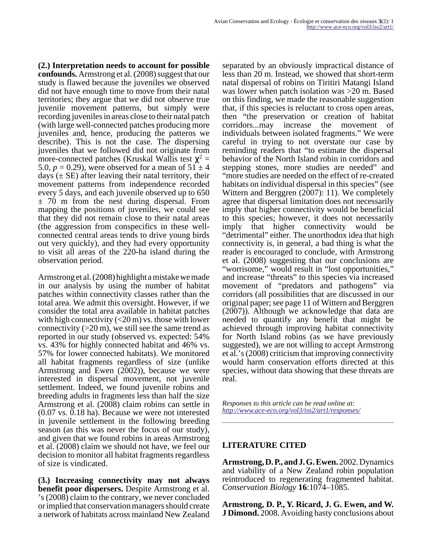**(2.) Interpretation needs to account for possible confounds.** Armstrong et al. (2008) suggest that our study is flawed because the juveniles we observed did not have enough time to move from their natal territories; they argue that we did not observe true juvenile movement patterns, but simply were recording juveniles in areas close to their natal patch (with large well-connected patches producing more juveniles and, hence, producing the patterns we describe). This is not the case. The dispersing juveniles that we followed did not originate from more-connected patches (Kruskal Wallis test  $\chi^2$  = 5.0,  $p = 0.29$ ), were observed for a mean of  $51 \pm 4$ days  $(\pm S$ E) after leaving their natal territory, their movement patterns from independence recorded every 5 days, and each juvenile observed up to 650  $\pm$  70 m from the nest during dispersal. From mapping the positions of juveniles, we could see that they did not remain close to their natal areas (the aggression from conspecifics in these wellconnected central areas tends to drive young birds out very quickly), and they had every opportunity to visit all areas of the 220-ha island during the observation period.

Armstrong et al. (2008) highlight a mistake we made in our analysis by using the number of habitat patches within connectivity classes rather than the total area. We admit this oversight. However, if we consider the total area available in habitat patches with high connectivity  $\left($  <20 m) vs. those with lower connectivity  $(20 \text{ m})$ , we still see the same trend as reported in our study (observed vs. expected: 54% vs. 43% for highly connected habitat and 46% vs. 57% for lower connected habitats). We monitored all habitat fragments regardless of size (unlike Armstrong and Ewen (2002)), because we were interested in dispersal movement, not juvenile settlement. Indeed, we found juvenile robins and breeding adults in fragments less than half the size Armstrong et al. (2008) claim robins can settle in (0.07 vs. 0.18 ha). Because we were not interested in juvenile settlement in the following breeding season (as this was never the focus of our study), and given that we found robins in areas Armstrong et al. (2008) claim we should not have, we feel our decision to monitor all habitat fragments regardless of size is vindicated.

**(3.) Increasing connectivity may not always benefit poor dispersers.** Despite Armstrong et al. 's (2008) claim to the contrary, we never concluded or implied that conservation managers should create a network of habitats across mainland New Zealand

separated by an obviously impractical distance of less than 20 m. Instead, we showed that short-term natal dispersal of robins on Tiritiri Matangi Island was lower when patch isolation was >20 m. Based on this finding, we made the reasonable suggestion that, if this species is reluctant to cross open areas, then "the preservation or creation of habitat corridors...may increase the movement of individuals between isolated fragments." We were careful in trying to not overstate our case by reminding readers that "to estimate the dispersal behavior of the North Island robin in corridors and stepping stones, more studies are needed" and "more studies are needed on the effect of re-created habitats on individual dispersal in this species" (see Wittern and Berggren (2007): 11). We completely agree that dispersal limitation does not necessarily imply that higher connectivity would be beneficial to this species; however, it does not necessarily imply that higher connectivity would be "detrimental" either. The unorthodox idea that high connectivity is, in general, a bad thing is what the reader is encouraged to conclude, with Armstrong et al. (2008) suggesting that our conclusions are "worrisome," would result in "lost opportunities," and increase "threats" to this species via increased movement of "predators and pathogens" via corridors (all possibilities that are discussed in our original paper; see page 11 of Wittern and Berggren (2007)). Although we acknowledge that data are needed to quantify any benefit that might be achieved through improving habitat connectivity for North Island robins (as we have previously suggested), we are not willing to accept Armstrong et al.'s (2008) criticism that improving connectivity would harm conservation efforts directed at this species, without data showing that these threats are real.

*Responses to this article can be read online at: <http://www.ace-eco.org/vol3/iss2/art1/responses/>*

## **LITERATURE CITED**

**Armstrong, D. P., and J. G. Ewen.** 2002. Dynamics and viability of a New Zealand robin population reintroduced to regenerating fragmented habitat. *Conservation Biology* **16**:1074–1085.

**Armstrong, D. P., Y. Ricard, J. G. Ewen, and W. J Dimond.** 2008. Avoiding hasty conclusions about